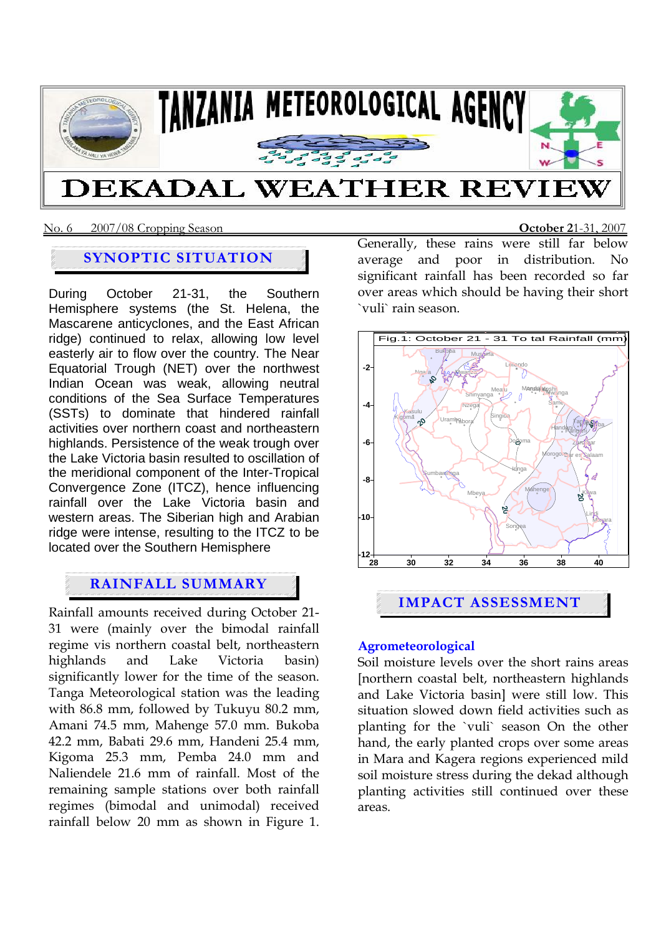

### No. 6 2007/08 Cropping Season **October 2**1-31, 2007

# **SYNOPTIC SITUATION**

During October 21-31, the Southern Hemisphere systems (the St. Helena, the Mascarene anticyclones, and the East African ridge) continued to relax, allowing low level easterly air to flow over the country. The Near Equatorial Trough (NET) over the northwest Indian Ocean was weak, allowing neutral conditions of the Sea Surface Temperatures (SSTs) to dominate that hindered rainfall activities over northern coast and northeastern highlands. Persistence of the weak trough over the Lake Victoria basin resulted to oscillation of the meridional component of the Inter-Tropical Convergence Zone (ITCZ), hence influencing rainfall over the Lake Victoria basin and western areas. The Siberian high and Arabian ridge were intense, resulting to the ITCZ to be located over the Southern Hemisphere

# **RAINFALL SUMMARY**

Rainfall amounts received during October 21- 31 were (mainly over the bimodal rainfall regime vis northern coastal belt, northeastern highlands and Lake Victoria basin) significantly lower for the time of the season. Tanga Meteorological station was the leading with 86.8 mm, followed by Tukuyu 80.2 mm, Amani 74.5 mm, Mahenge 57.0 mm. Bukoba 42.2 mm, Babati 29.6 mm, Handeni 25.4 mm, Kigoma 25.3 mm, Pemba 24.0 mm and Naliendele 21.6 mm of rainfall. Most of the remaining sample stations over both rainfall regimes (bimodal and unimodal) received rainfall below 20 mm as shown in Figure 1.

Generally, these rains were still far below average and poor in distribution. No significant rainfall has been recorded so far over areas which should be having their short `vuli` rain season.



# **Agrometeorological**

Soil moisture levels over the short rains areas [northern coastal belt, northeastern highlands and Lake Victoria basin] were still low. This situation slowed down field activities such as planting for the `vuli` season On the other hand, the early planted crops over some areas in Mara and Kagera regions experienced mild soil moisture stress during the dekad although planting activities still continued over these areas.